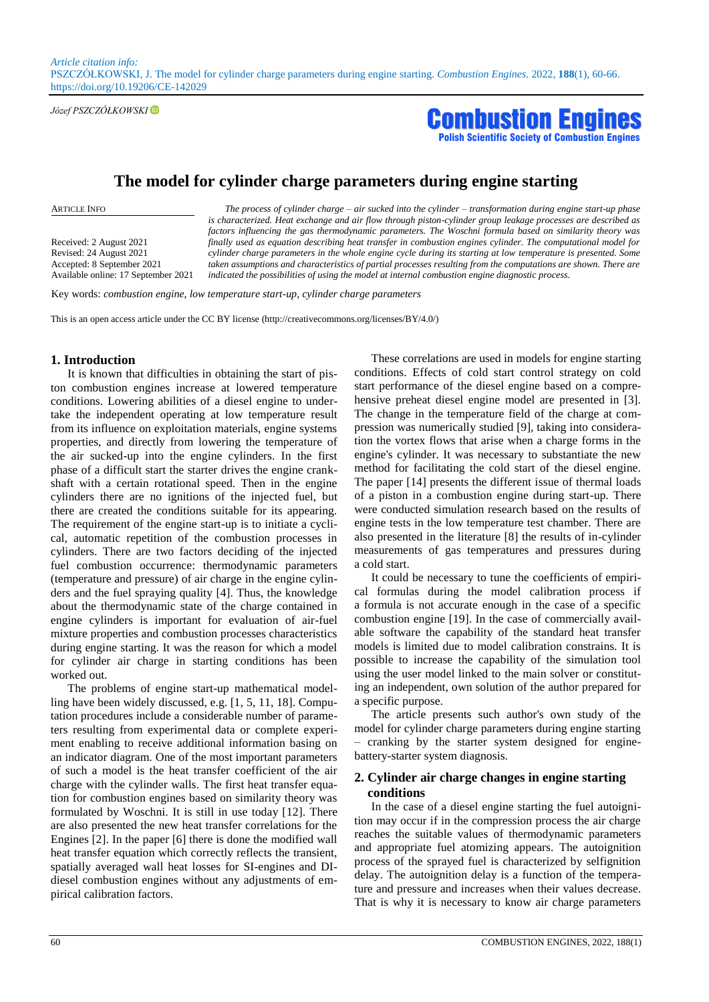*Article citation info:*  PSZCZÓŁKOWSKI, J. The model for cylinder charge parameters during engine starting. *Combustion Engines*. 2022, **188**(1), 60-66. https://doi.org/10.19206/CE-142029

*Józef PSZCZÓŁKOWSKI*



# **The model for cylinder charge parameters during engine starting**

Received: 2 August 2021 Revised: 24 August 2021 Accepted: 8 September 2021 Available online: 17 September 2021

ARTICLE INFO *The process of cylinder charge – air sucked into the cylinder – transformation during engine start-up phase is characterized. Heat exchange and air flow through piston-cylinder group leakage processes are described as factors influencing the gas thermodynamic parameters. The Woschni formula based on similarity theory was finally used as equation describing heat transfer in combustion engines cylinder. The computational model for cylinder charge parameters in the whole engine cycle during its starting at low temperature is presented. Some*  taken assumptions and characteristics of partial processes resulting from the computations are shown. There are *indicated the possibilities of using the model at internal combustion engine diagnostic process.*

Key words: *combustion engine, low temperature start-up, cylinder charge parameters*

This is an open access article under the CC BY license (http://creativecommons.org/licenses/BY/4.0/)

#### **1. Introduction**

It is known that difficulties in obtaining the start of piston combustion engines increase at lowered temperature conditions. Lowering abilities of a diesel engine to undertake the independent operating at low temperature result from its influence on exploitation materials, engine systems properties, and directly from lowering the temperature of the air sucked-up into the engine cylinders. In the first phase of a difficult start the starter drives the engine crankshaft with a certain rotational speed. Then in the engine cylinders there are no ignitions of the injected fuel, but there are created the conditions suitable for its appearing. The requirement of the engine start-up is to initiate a cyclical, automatic repetition of the combustion processes in cylinders. There are two factors deciding of the injected fuel combustion occurrence: thermodynamic parameters (temperature and pressure) of air charge in the engine cylinders and the fuel spraying quality [4]. Thus, the knowledge about the thermodynamic state of the charge contained in engine cylinders is important for evaluation of air-fuel mixture properties and combustion processes characteristics during engine starting. It was the reason for which a model for cylinder air charge in starting conditions has been worked out.

The problems of engine start-up mathematical modelling have been widely discussed, e.g. [1, 5, 11, 18]. Computation procedures include a considerable number of parameters resulting from experimental data or complete experiment enabling to receive additional information basing on an indicator diagram. One of the most important parameters of such a model is the heat transfer coefficient of the air charge with the cylinder walls. The first heat transfer equation for combustion engines based on similarity theory was formulated by Woschni. It is still in use today [12]. There are also presented the new heat transfer correlations for the Engines [2]. In the paper [6] there is done the modified wall heat transfer equation which correctly reflects the transient, spatially averaged wall heat losses for SI-engines and DIdiesel combustion engines without any adjustments of empirical calibration factors.

These correlations are used in models for engine starting conditions. Effects of cold start control strategy on cold start performance of the diesel engine based on a comprehensive preheat diesel engine model are presented in [3]. The change in the temperature field of the charge at compression was numerically studied [9], taking into consideration the vortex flows that arise when a charge forms in the engine's cylinder. It was necessary to substantiate the new method for facilitating the cold start of the diesel engine. The paper [14] presents the different issue of thermal loads of a piston in a combustion engine during start-up. There were conducted simulation research based on the results of engine tests in the low temperature test chamber. There are also presented in the literature [8] the results of in-cylinder measurements of gas temperatures and pressures during a cold start.

It could be necessary to tune the coefficients of empirical formulas during the model calibration process if a formula is not accurate enough in the case of a specific combustion engine [19]. In the case of commercially available software the capability of the standard heat transfer models is limited due to model calibration constrains. It is possible to increase the capability of the simulation tool using the user model linked to the main solver or constituting an independent, own solution of the author prepared for a specific purpose.

The article presents such author's own study of the model for cylinder charge parameters during engine starting – cranking by the starter system designed for enginebattery-starter system diagnosis.

# **2. Cylinder air charge changes in engine starting conditions**

In the case of a diesel engine starting the fuel autoignition may occur if in the compression process the air charge reaches the suitable values of thermodynamic parameters and appropriate fuel atomizing appears. The autoignition process of the sprayed fuel is characterized by selfignition delay. The autoignition delay is a function of the temperature and pressure and increases when their values decrease. That is why it is necessary to know air charge parameters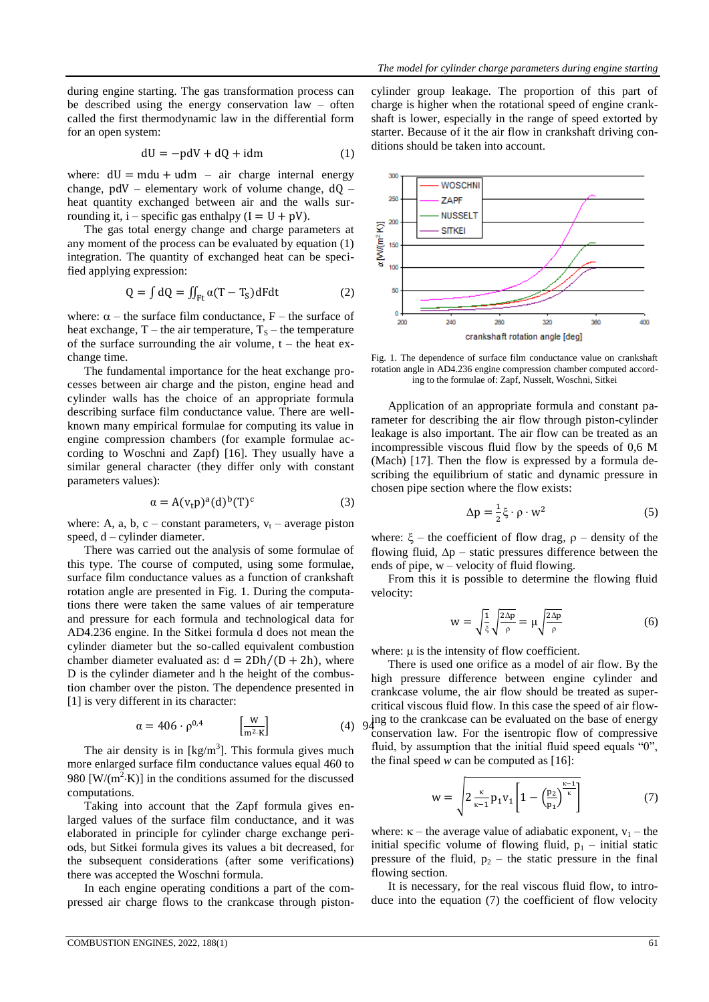during engine starting. The gas transformation process can be described using the energy conservation law – often called the first thermodynamic law in the differential form for an open system:

$$
dU = -pdV + dQ + idm
$$
 (1)

where:  $dU = mdu + udm - air charge internal energy$ change, pdV – elementary work of volume change, dQ – heat quantity exchanged between air and the walls surrounding it, i – specific gas enthalpy  $(I = U + pV)$ .

The gas total energy change and charge parameters at any moment of the process can be evaluated by equation (1) integration. The quantity of exchanged heat can be specified applying expression:

$$
Q = \int dQ = \iint_{Ft} \alpha (T - T_S) dF dt
$$
 (2)

where:  $\alpha$  – the surface film conductance, F – the surface of heat exchange,  $T$  – the air temperature,  $T_s$  – the temperature of the surface surrounding the air volume,  $t -$  the heat exchange time.

The fundamental importance for the heat exchange processes between air charge and the piston, engine head and cylinder walls has the choice of an appropriate formula describing surface film conductance value. There are wellknown many empirical formulae for computing its value in engine compression chambers (for example formulae according to Woschni and Zapf) [16]. They usually have a similar general character (they differ only with constant parameters values):

$$
\alpha = A(v_t p)^a (d)^b (T)^c \tag{3}
$$

where: A, a, b, c – constant parameters,  $v_t$  – average piston speed, d – cylinder diameter.

There was carried out the analysis of some formulae of this type. The course of computed, using some formulae, surface film conductance values as a function of crankshaft rotation angle are presented in Fig. 1. During the computations there were taken the same values of air temperature and pressure for each formula and technological data for AD4.236 engine. In the Sitkei formula d does not mean the cylinder diameter but the so-called equivalent combustion chamber diameter evaluated as:  $d = 2Dh/(D + 2h)$ , where D is the cylinder diameter and h the height of the combustion chamber over the piston. The dependence presented in [1] is very different in its character:

$$
\alpha = 406 \cdot \rho^{0.4} \qquad \left[\frac{W}{m^2 \cdot K}\right] \tag{4} \quad 9\frac{1}{4}
$$

The air density is in  $[kg/m<sup>3</sup>]$ . This formula gives much more enlarged surface film conductance values equal 460 to 980  $[W/(m^2 \cdot K)]$  in the conditions assumed for the discussed computations.

Taking into account that the Zapf formula gives enlarged values of the surface film conductance, and it was elaborated in principle for cylinder charge exchange periods, but Sitkei formula gives its values a bit decreased, for the subsequent considerations (after some verifications) there was accepted the Woschni formula.

In each engine operating conditions a part of the compressed air charge flows to the crankcase through pistoncylinder group leakage. The proportion of this part of charge is higher when the rotational speed of engine crankshaft is lower, especially in the range of speed extorted by starter. Because of it the air flow in crankshaft driving conditions should be taken into account.



Fig. 1. The dependence of surface film conductance value on crankshaft rotation angle in AD4.236 engine compression chamber computed according to the formulae of: Zapf, Nusselt, Woschni, Sitkei

Application of an appropriate formula and constant parameter for describing the air flow through piston-cylinder leakage is also important. The air flow can be treated as an incompressible viscous fluid flow by the speeds of 0,6 M (Mach) [17]. Then the flow is expressed by a formula describing the equilibrium of static and dynamic pressure in chosen pipe section where the flow exists:

$$
\Delta p = \frac{1}{2}\xi \cdot \rho \cdot w^2 \tag{5}
$$

where:  $\xi$  – the coefficient of flow drag,  $\rho$  – density of the flowing fluid,  $\Delta p$  – static pressures difference between the ends of pipe, w – velocity of fluid flowing.

From this it is possible to determine the flowing fluid velocity:

$$
w = \sqrt{\frac{1}{\xi}} \sqrt{\frac{2\Delta p}{\rho}} = \mu \sqrt{\frac{2\Delta p}{\rho}}
$$
 (6)

where:  $\mu$  is the intensity of flow coefficient.

There is used one orifice as a model of air flow. By the high pressure difference between engine cylinder and crankcase volume, the air flow should be treated as supercritical viscous fluid flow. In this case the speed of air flow $q_1$ ing to the crankcase can be evaluated on the base of energy conservation law. For the isentropic flow of compressive fluid, by assumption that the initial fluid speed equals "0", the final speed  $w$  can be computed as  $[16]$ :

$$
w = \sqrt{2 \frac{\kappa}{\kappa - 1} p_1 v_1} \left[ 1 - \left( \frac{p_2}{p_1} \right)^{\frac{\kappa - 1}{\kappa}} \right]
$$
 (7)

where:  $\kappa$  – the average value of adiabatic exponent,  $v_1$  – the initial specific volume of flowing fluid,  $p_1$  – initial static pressure of the fluid,  $p_2$  – the static pressure in the final flowing section.

It is necessary, for the real viscous fluid flow, to introduce into the equation (7) the coefficient of flow velocity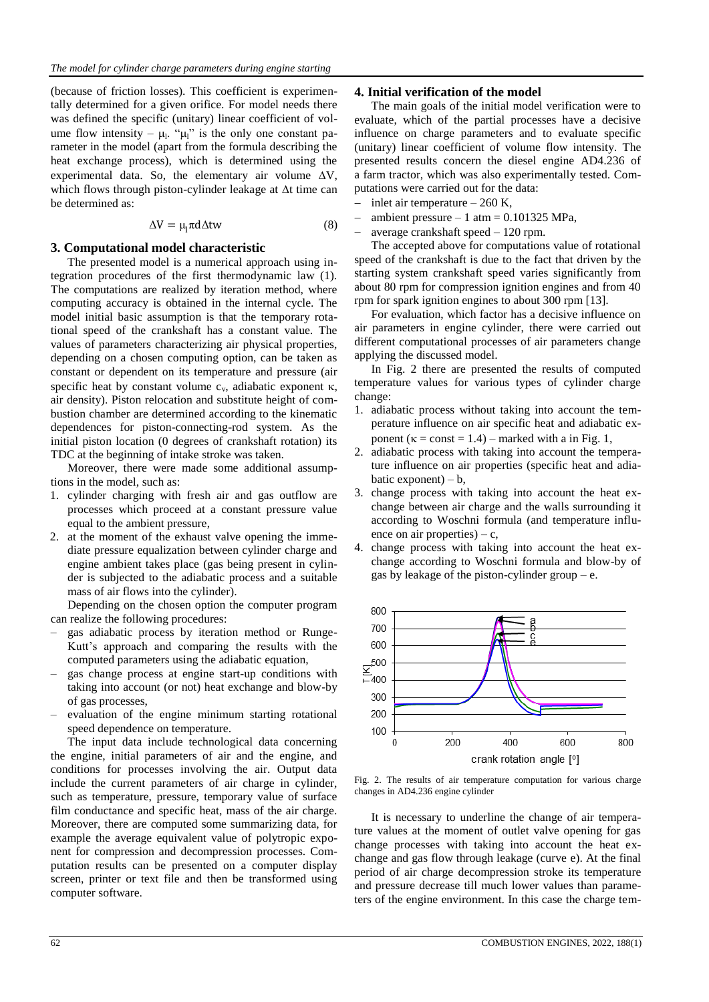(because of friction losses). This coefficient is experimentally determined for a given orifice. For model needs there was defined the specific (unitary) linear coefficient of volume flow intensity –  $\mu$ <sup>1</sup>. " $\mu$ <sup>1</sup>" is the only one constant parameter in the model (apart from the formula describing the heat exchange process), which is determined using the experimental data. So, the elementary air volume  $\Delta V$ , which flows through piston-cylinder leakage at  $\Delta t$  time can be determined as:

$$
\Delta V = \mu_1 \pi d \Delta t w \tag{8}
$$

## **3. Computational model characteristic**

The presented model is a numerical approach using integration procedures of the first thermodynamic law (1). The computations are realized by iteration method, where computing accuracy is obtained in the internal cycle. The model initial basic assumption is that the temporary rotational speed of the crankshaft has a constant value. The values of parameters characterizing air physical properties, depending on a chosen computing option, can be taken as constant or dependent on its temperature and pressure (air specific heat by constant volume  $c_{v}$ , adiabatic exponent  $\kappa$ , air density). Piston relocation and substitute height of combustion chamber are determined according to the kinematic dependences for piston-connecting-rod system. As the initial piston location (0 degrees of crankshaft rotation) its TDC at the beginning of intake stroke was taken.

Moreover, there were made some additional assumptions in the model, such as:

- 1. cylinder charging with fresh air and gas outflow are processes which proceed at a constant pressure value equal to the ambient pressure,
- 2. at the moment of the exhaust valve opening the immediate pressure equalization between cylinder charge and engine ambient takes place (gas being present in cylinder is subjected to the adiabatic process and a suitable mass of air flows into the cylinder).

Depending on the chosen option the computer program can realize the following procedures:

- gas adiabatic process by iteration method or Runge-Kutt's approach and comparing the results with the computed parameters using the adiabatic equation,
- gas change process at engine start-up conditions with taking into account (or not) heat exchange and blow-by of gas processes,
- evaluation of the engine minimum starting rotational speed dependence on temperature.

The input data include technological data concerning the engine, initial parameters of air and the engine, and conditions for processes involving the air. Output data include the current parameters of air charge in cylinder, such as temperature, pressure, temporary value of surface film conductance and specific heat, mass of the air charge. Moreover, there are computed some summarizing data, for example the average equivalent value of polytropic exponent for compression and decompression processes. Computation results can be presented on a computer display screen, printer or text file and then be transformed using computer software.

### **4. Initial verification of the model**

The main goals of the initial model verification were to evaluate, which of the partial processes have a decisive influence on charge parameters and to evaluate specific (unitary) linear coefficient of volume flow intensity. The presented results concern the diesel engine AD4.236 of a farm tractor, which was also experimentally tested. Computations were carried out for the data:

- inlet air temperature 260 K,
- ambient pressure 1 atm =  $0.101325$  MPa,
- average crankshaft speed 120 rpm.

The accepted above for computations value of rotational speed of the crankshaft is due to the fact that driven by the starting system crankshaft speed varies significantly from about 80 rpm for compression ignition engines and from 40 rpm for spark ignition engines to about 300 rpm [13].

For evaluation, which factor has a decisive influence on air parameters in engine cylinder, there were carried out different computational processes of air parameters change applying the discussed model.

In Fig. 2 there are presented the results of computed temperature values for various types of cylinder charge change:

- 1. adiabatic process without taking into account the temperature influence on air specific heat and adiabatic exponent ( $\kappa$  = const = 1.4) – marked with a in Fig. 1,
- 2. adiabatic process with taking into account the temperature influence on air properties (specific heat and adiabatic exponent)  $- b$ ,
- 3. change process with taking into account the heat exchange between air charge and the walls surrounding it according to Woschni formula (and temperature influence on air properties) – c,
- 4. change process with taking into account the heat exchange according to Woschni formula and blow-by of gas by leakage of the piston-cylinder group  $-e$ .



Fig. 2. The results of air temperature computation for various charge changes in AD4.236 engine cylinder

It is necessary to underline the change of air temperature values at the moment of outlet valve opening for gas change processes with taking into account the heat exchange and gas flow through leakage (curve e). At the final period of air charge decompression stroke its temperature and pressure decrease till much lower values than parameters of the engine environment. In this case the charge tem-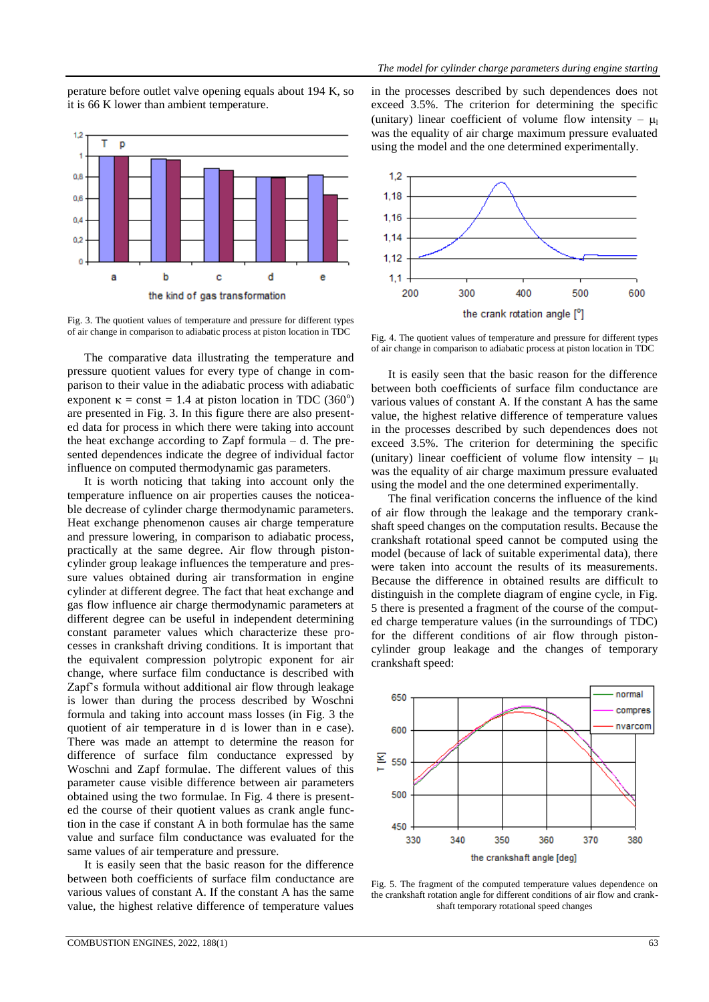perature before outlet valve opening equals about 194 K, so it is 66 K lower than ambient temperature.



Fig. 3. The quotient values of temperature and pressure for different types of air change in comparison to adiabatic process at piston location in TDC

The comparative data illustrating the temperature and pressure quotient values for every type of change in comparison to their value in the adiabatic process with adiabatic exponent  $\kappa$  = const = 1.4 at piston location in TDC (360<sup>o</sup>) are presented in Fig. 3. In this figure there are also presented data for process in which there were taking into account the heat exchange according to Zapf formula  $-$  d. The presented dependences indicate the degree of individual factor influence on computed thermodynamic gas parameters.

It is worth noticing that taking into account only the temperature influence on air properties causes the noticeable decrease of cylinder charge thermodynamic parameters. Heat exchange phenomenon causes air charge temperature and pressure lowering, in comparison to adiabatic process, practically at the same degree. Air flow through pistoncylinder group leakage influences the temperature and pressure values obtained during air transformation in engine cylinder at different degree. The fact that heat exchange and gas flow influence air charge thermodynamic parameters at different degree can be useful in independent determining constant parameter values which characterize these processes in crankshaft driving conditions. It is important that the equivalent compression polytropic exponent for air change, where surface film conductance is described with Zapf's formula without additional air flow through leakage is lower than during the process described by Woschni formula and taking into account mass losses (in Fig. 3 the quotient of air temperature in d is lower than in e case). There was made an attempt to determine the reason for difference of surface film conductance expressed by Woschni and Zapf formulae. The different values of this parameter cause visible difference between air parameters obtained using the two formulae. In Fig. 4 there is presented the course of their quotient values as crank angle function in the case if constant A in both formulae has the same value and surface film conductance was evaluated for the same values of air temperature and pressure.

It is easily seen that the basic reason for the difference between both coefficients of surface film conductance are various values of constant A. If the constant A has the same value, the highest relative difference of temperature values in the processes described by such dependences does not exceed 3.5%. The criterion for determining the specific (unitary) linear coefficient of volume flow intensity –  $\mu_1$ was the equality of air charge maximum pressure evaluated using the model and the one determined experimentally.



Fig. 4. The quotient values of temperature and pressure for different types of air change in comparison to adiabatic process at piston location in TDC

It is easily seen that the basic reason for the difference between both coefficients of surface film conductance are various values of constant A. If the constant A has the same value, the highest relative difference of temperature values in the processes described by such dependences does not exceed 3.5%. The criterion for determining the specific (unitary) linear coefficient of volume flow intensity –  $\mu_1$ was the equality of air charge maximum pressure evaluated using the model and the one determined experimentally.

The final verification concerns the influence of the kind of air flow through the leakage and the temporary crankshaft speed changes on the computation results. Because the crankshaft rotational speed cannot be computed using the model (because of lack of suitable experimental data), there were taken into account the results of its measurements. Because the difference in obtained results are difficult to distinguish in the complete diagram of engine cycle, in Fig. 5 there is presented a fragment of the course of the computed charge temperature values (in the surroundings of TDC) for the different conditions of air flow through pistoncylinder group leakage and the changes of temporary crankshaft speed:



Fig. 5. The fragment of the computed temperature values dependence on the crankshaft rotation angle for different conditions of air flow and crankshaft temporary rotational speed changes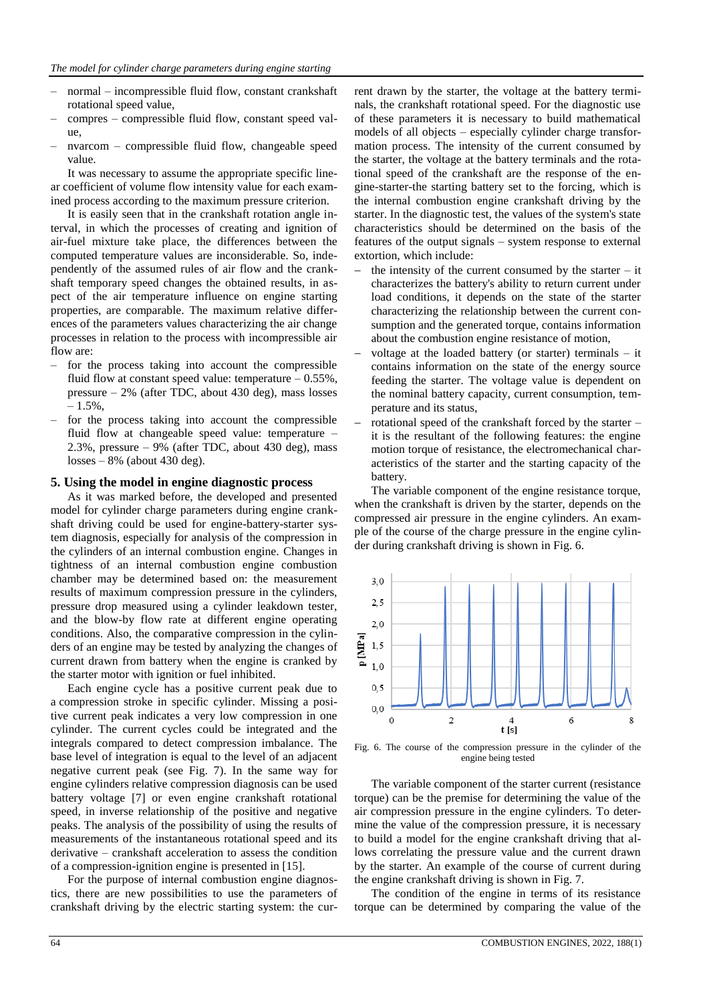- normal incompressible fluid flow, constant crankshaft rotational speed value,
- compres compressible fluid flow, constant speed value,
- nvarcom compressible fluid flow, changeable speed value.

It was necessary to assume the appropriate specific linear coefficient of volume flow intensity value for each examined process according to the maximum pressure criterion.

It is easily seen that in the crankshaft rotation angle interval, in which the processes of creating and ignition of air-fuel mixture take place, the differences between the computed temperature values are inconsiderable. So, independently of the assumed rules of air flow and the crankshaft temporary speed changes the obtained results, in aspect of the air temperature influence on engine starting properties, are comparable. The maximum relative differences of the parameters values characterizing the air change processes in relation to the process with incompressible air flow are:

- for the process taking into account the compressible fluid flow at constant speed value: temperature  $-0.55\%$ , pressure – 2% (after TDC, about 430 deg), mass losses  $-1.5\%$ .
- for the process taking into account the compressible fluid flow at changeable speed value: temperature – 2.3%, pressure  $-9%$  (after TDC, about 430 deg), mass  $losses - 8\%$  (about 430 deg).

### **5. Using the model in engine diagnostic process**

As it was marked before, the developed and presented model for cylinder charge parameters during engine crankshaft driving could be used for engine-battery-starter system diagnosis, especially for analysis of the compression in the cylinders of an internal combustion engine. Changes in tightness of an internal combustion engine combustion chamber may be determined based on: the measurement results of maximum compression pressure in the cylinders, pressure drop measured using a cylinder leakdown tester, and the blow-by flow rate at different engine operating conditions. Also, the comparative compression in the cylinders of an engine may be tested by analyzing the changes of current drawn from battery when the engine is cranked by the starter motor with ignition or fuel inhibited.

Each engine cycle has a positive current peak due to a compression stroke in specific cylinder. Missing a positive current peak indicates a very low compression in one cylinder. The current cycles could be integrated and the integrals compared to detect compression imbalance. The base level of integration is equal to the level of an adjacent negative current peak (see Fig. 7). In the same way for engine cylinders relative compression diagnosis can be used battery voltage [7] or even engine crankshaft rotational speed, in inverse relationship of the positive and negative peaks. The analysis of the possibility of using the results of measurements of the instantaneous rotational speed and its derivative – crankshaft acceleration to assess the condition of a compression-ignition engine is presented in [15].

For the purpose of internal combustion engine diagnostics, there are new possibilities to use the parameters of crankshaft driving by the electric starting system: the current drawn by the starter, the voltage at the battery terminals, the crankshaft rotational speed. For the diagnostic use of these parameters it is necessary to build mathematical models of all objects – especially cylinder charge transformation process. The intensity of the current consumed by the starter, the voltage at the battery terminals and the rotational speed of the crankshaft are the response of the engine-starter-the starting battery set to the forcing, which is the internal combustion engine crankshaft driving by the starter. In the diagnostic test, the values of the system's state characteristics should be determined on the basis of the features of the output signals – system response to external extortion, which include:

- the intensity of the current consumed by the starter  $-$  it characterizes the battery's ability to return current under load conditions, it depends on the state of the starter characterizing the relationship between the current consumption and the generated torque, contains information about the combustion engine resistance of motion,
- voltage at the loaded battery (or starter) terminals it contains information on the state of the energy source feeding the starter. The voltage value is dependent on the nominal battery capacity, current consumption, temperature and its status,
- rotational speed of the crankshaft forced by the starter it is the resultant of the following features: the engine motion torque of resistance, the electromechanical characteristics of the starter and the starting capacity of the battery.

The variable component of the engine resistance torque, when the crankshaft is driven by the starter, depends on the compressed air pressure in the engine cylinders. An example of the course of the charge pressure in the engine cylinder during crankshaft driving is shown in Fig. 6.



Fig. 6. The course of the compression pressure in the cylinder of the engine being tested

The variable component of the starter current (resistance torque) can be the premise for determining the value of the air compression pressure in the engine cylinders. To determine the value of the compression pressure, it is necessary to build a model for the engine crankshaft driving that allows correlating the pressure value and the current drawn by the starter. An example of the course of current during the engine crankshaft driving is shown in Fig. 7.

The condition of the engine in terms of its resistance torque can be determined by comparing the value of the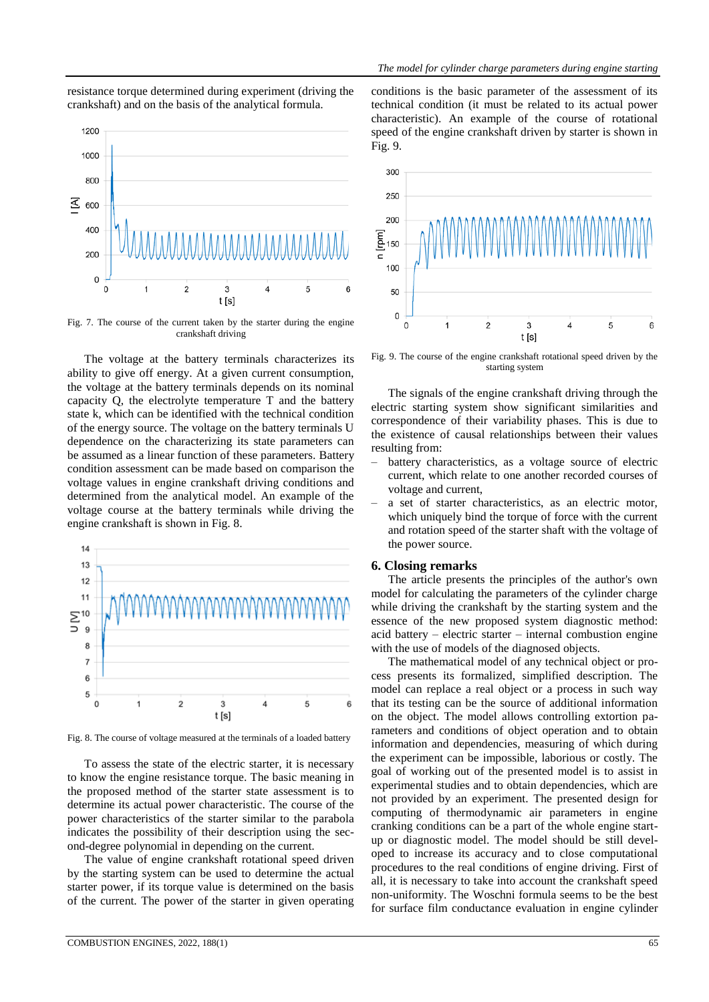resistance torque determined during experiment (driving the crankshaft) and on the basis of the analytical formula.



Fig. 7. The course of the current taken by the starter during the engine crankshaft driving

The voltage at the battery terminals characterizes its ability to give off energy. At a given current consumption, the voltage at the battery terminals depends on its nominal capacity Q, the electrolyte temperature T and the battery state k, which can be identified with the technical condition of the energy source. The voltage on the battery terminals U dependence on the characterizing its state parameters can be assumed as a linear function of these parameters. Battery condition assessment can be made based on comparison the voltage values in engine crankshaft driving conditions and determined from the analytical model. An example of the voltage course at the battery terminals while driving the engine crankshaft is shown in Fig. 8.



Fig. 8. The course of voltage measured at the terminals of a loaded battery

To assess the state of the electric starter, it is necessary to know the engine resistance torque. The basic meaning in the proposed method of the starter state assessment is to determine its actual power characteristic. The course of the power characteristics of the starter similar to the parabola indicates the possibility of their description using the second-degree polynomial in depending on the current.

The value of engine crankshaft rotational speed driven by the starting system can be used to determine the actual starter power, if its torque value is determined on the basis of the current. The power of the starter in given operating conditions is the basic parameter of the assessment of its technical condition (it must be related to its actual power characteristic). An example of the course of rotational speed of the engine crankshaft driven by starter is shown in Fig. 9.



Fig. 9. The course of the engine crankshaft rotational speed driven by the starting system

The signals of the engine crankshaft driving through the electric starting system show significant similarities and correspondence of their variability phases. This is due to the existence of causal relationships between their values resulting from:

- battery characteristics, as a voltage source of electric current, which relate to one another recorded courses of voltage and current,
- a set of starter characteristics, as an electric motor, which uniquely bind the torque of force with the current and rotation speed of the starter shaft with the voltage of the power source.

#### **6. Closing remarks**

The article presents the principles of the author's own model for calculating the parameters of the cylinder charge while driving the crankshaft by the starting system and the essence of the new proposed system diagnostic method: acid battery – electric starter – internal combustion engine with the use of models of the diagnosed objects.

The mathematical model of any technical object or process presents its formalized, simplified description. The model can replace a real object or a process in such way that its testing can be the source of additional information on the object. The model allows controlling extortion parameters and conditions of object operation and to obtain information and dependencies, measuring of which during the experiment can be impossible, laborious or costly. The goal of working out of the presented model is to assist in experimental studies and to obtain dependencies, which are not provided by an experiment. The presented design for computing of thermodynamic air parameters in engine cranking conditions can be a part of the whole engine startup or diagnostic model. The model should be still developed to increase its accuracy and to close computational procedures to the real conditions of engine driving. First of all, it is necessary to take into account the crankshaft speed non-uniformity. The Woschni formula seems to be the best for surface film conductance evaluation in engine cylinder